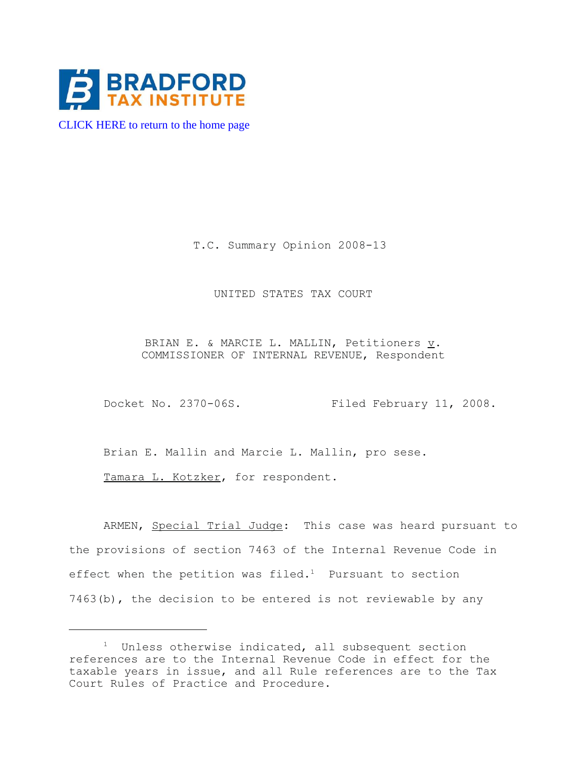

[CLICK HERE to return to the home page](https://www.bradfordtaxinstitute.com) 

T.C. Summary Opinion 2008-13

UNITED STATES TAX COURT

BRIAN E. & MARCIE L. MALLIN, Petitioners  $\underline{v}$ . COMMISSIONER OF INTERNAL REVENUE, Respondent

Docket No. 2370-06S. Filed February 11, 2008.

Brian E. Mallin and Marcie L. Mallin, pro sese. Tamara L. Kotzker, for respondent.

ARMEN, Special Trial Judge: This case was heard pursuant to the provisions of section 7463 of the Internal Revenue Code in effect when the petition was filed.<sup>1</sup> Pursuant to section 7463(b), the decision to be entered is not reviewable by any

 $1$  Unless otherwise indicated, all subsequent section references are to the Internal Revenue Code in effect for the taxable years in issue, and all Rule references are to the Tax Court Rules of Practice and Procedure.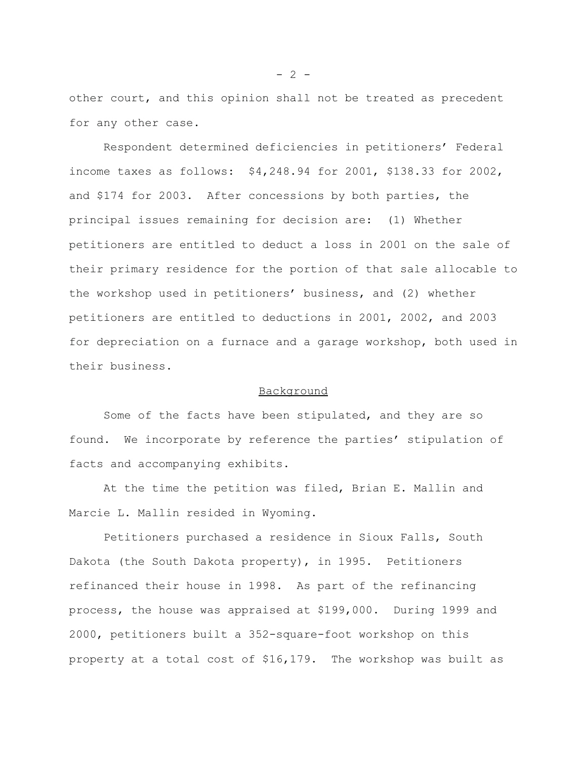other court, and this opinion shall not be treated as precedent for any other case.

Respondent determined deficiencies in petitioners' Federal income taxes as follows: \$4,248.94 for 2001, \$138.33 for 2002, and \$174 for 2003. After concessions by both parties, the principal issues remaining for decision are: (1) Whether petitioners are entitled to deduct a loss in 2001 on the sale of their primary residence for the portion of that sale allocable to the workshop used in petitioners' business, and (2) whether petitioners are entitled to deductions in 2001, 2002, and 2003 for depreciation on a furnace and a garage workshop, both used in their business.

## Background

Some of the facts have been stipulated, and they are so found. We incorporate by reference the parties' stipulation of facts and accompanying exhibits.

At the time the petition was filed, Brian E. Mallin and Marcie L. Mallin resided in Wyoming.

Petitioners purchased a residence in Sioux Falls, South Dakota (the South Dakota property), in 1995. Petitioners refinanced their house in 1998. As part of the refinancing process, the house was appraised at \$199,000. During 1999 and 2000, petitioners built a 352-square-foot workshop on this property at a total cost of \$16,179. The workshop was built as

 $- 2 -$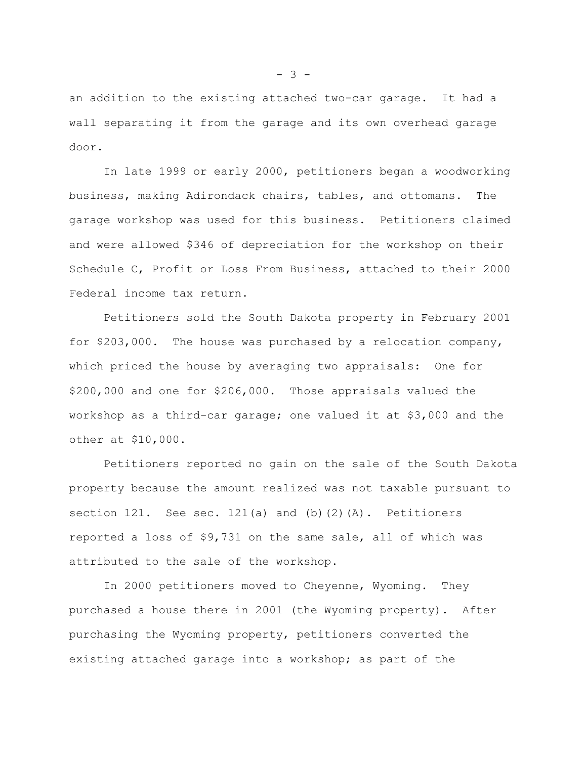an addition to the existing attached two-car garage. It had a wall separating it from the garage and its own overhead garage door.

In late 1999 or early 2000, petitioners began a woodworking business, making Adirondack chairs, tables, and ottomans. The garage workshop was used for this business. Petitioners claimed and were allowed \$346 of depreciation for the workshop on their Schedule C, Profit or Loss From Business, attached to their 2000 Federal income tax return.

Petitioners sold the South Dakota property in February 2001 for \$203,000. The house was purchased by a relocation company, which priced the house by averaging two appraisals: One for \$200,000 and one for \$206,000. Those appraisals valued the workshop as a third-car garage; one valued it at \$3,000 and the other at \$10,000.

Petitioners reported no gain on the sale of the South Dakota property because the amount realized was not taxable pursuant to section 121. See sec.  $121(a)$  and (b)(2)(A). Petitioners reported a loss of \$9,731 on the same sale, all of which was attributed to the sale of the workshop.

In 2000 petitioners moved to Cheyenne, Wyoming. They purchased a house there in 2001 (the Wyoming property). After purchasing the Wyoming property, petitioners converted the existing attached garage into a workshop; as part of the

 $- 3 -$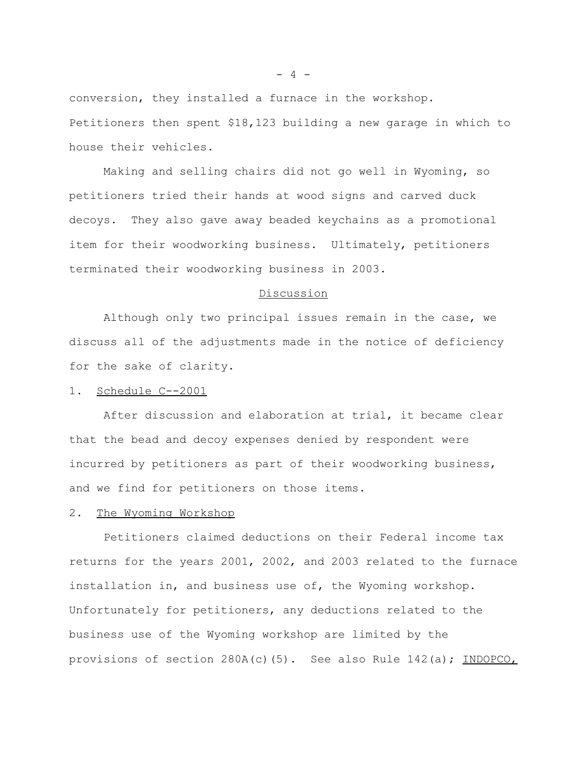conversion, they installed a furnace in the workshop. Petitioners then spent \$18,123 building a new garage in which to house their vehicles.

Making and selling chairs did not go well in Wyoming, so petitioners tried their hands at wood signs and carved duck decoys. They also gave away beaded keychains as a promotional item for their woodworking business. Ultimately, petitioners terminated their woodworking business in 2003.

#### Discussion

Although only two principal issues remain in the case, we discuss all of the adjustments made in the notice of deficiency for the sake of clarity.

#### 1. Schedule C--2001

After discussion and elaboration at trial, it became clear that the bead and decoy expenses denied by respondent were incurred by petitioners as part of their woodworking business, and we find for petitioners on those items.

### 2. The Wyoming Workshop

Petitioners claimed deductions on their Federal income tax returns for the years 2001, 2002, and 2003 related to the furnace installation in, and business use of, the Wyoming workshop. Unfortunately for petitioners, any deductions related to the business use of the Wyoming workshop are limited by the provisions of section 280A(c)(5). See also Rule 142(a); INDOPCO,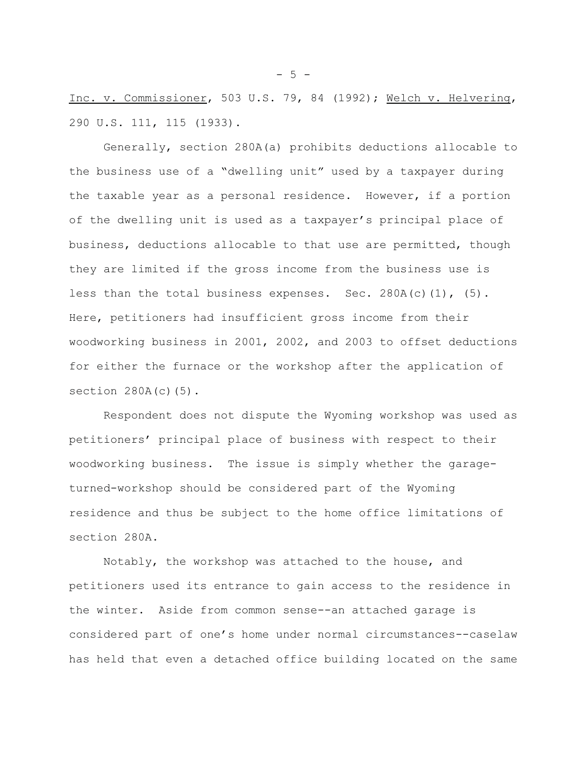Inc. v. Commissioner, 503 U.S. 79, 84 (1992); Welch v. Helvering, 290 U.S. 111, 115 (1933).

Generally, section 280A(a) prohibits deductions allocable to the business use of a "dwelling unit" used by a taxpayer during the taxable year as a personal residence. However, if a portion of the dwelling unit is used as a taxpayer's principal place of business, deductions allocable to that use are permitted, though they are limited if the gross income from the business use is less than the total business expenses. Sec.  $280A(c)(1)$ ,  $(5)$ . Here, petitioners had insufficient gross income from their woodworking business in 2001, 2002, and 2003 to offset deductions for either the furnace or the workshop after the application of section 280A(c)(5).

Respondent does not dispute the Wyoming workshop was used as petitioners' principal place of business with respect to their woodworking business. The issue is simply whether the garageturned-workshop should be considered part of the Wyoming residence and thus be subject to the home office limitations of section 280A.

Notably, the workshop was attached to the house, and petitioners used its entrance to gain access to the residence in the winter. Aside from common sense--an attached garage is considered part of one's home under normal circumstances--caselaw has held that even a detached office building located on the same

 $-5 -$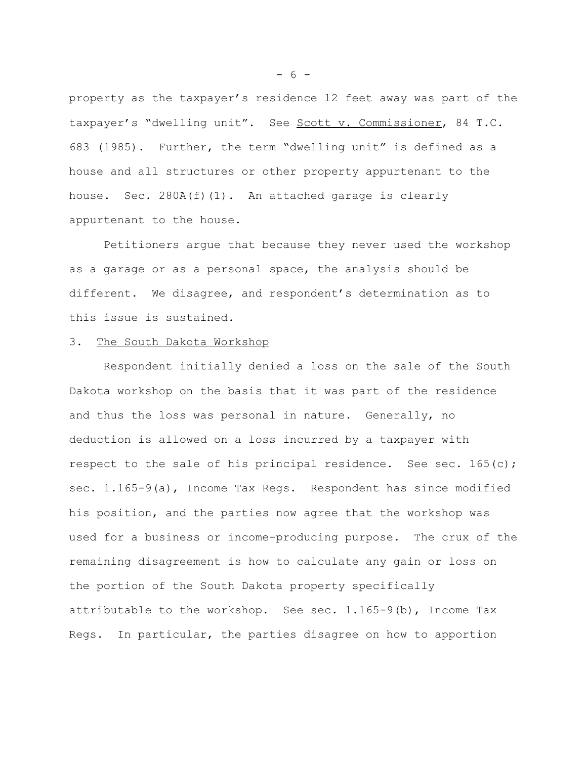property as the taxpayer's residence 12 feet away was part of the taxpayer's "dwelling unit". See Scott v. Commissioner, 84 T.C. 683 (1985). Further, the term "dwelling unit" is defined as a house and all structures or other property appurtenant to the house. Sec.  $280A(f)(1)$ . An attached garage is clearly appurtenant to the house.

Petitioners argue that because they never used the workshop as a garage or as a personal space, the analysis should be different. We disagree, and respondent's determination as to this issue is sustained.

## 3. The South Dakota Workshop

Respondent initially denied a loss on the sale of the South Dakota workshop on the basis that it was part of the residence and thus the loss was personal in nature. Generally, no deduction is allowed on a loss incurred by a taxpayer with respect to the sale of his principal residence. See sec. 165(c); sec. 1.165-9(a), Income Tax Regs. Respondent has since modified his position, and the parties now agree that the workshop was used for a business or income-producing purpose. The crux of the remaining disagreement is how to calculate any gain or loss on the portion of the South Dakota property specifically attributable to the workshop. See sec.  $1.165-9(b)$ , Income Tax Regs. In particular, the parties disagree on how to apportion

 $- 6 -$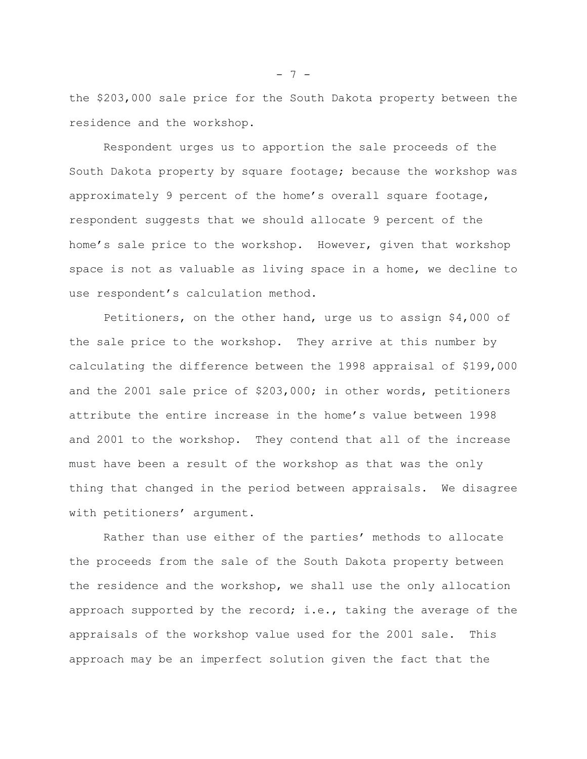the \$203,000 sale price for the South Dakota property between the residence and the workshop.

Respondent urges us to apportion the sale proceeds of the South Dakota property by square footage; because the workshop was approximately 9 percent of the home's overall square footage, respondent suggests that we should allocate 9 percent of the home's sale price to the workshop. However, given that workshop space is not as valuable as living space in a home, we decline to use respondent's calculation method.

Petitioners, on the other hand, urge us to assign \$4,000 of the sale price to the workshop. They arrive at this number by calculating the difference between the 1998 appraisal of \$199,000 and the 2001 sale price of \$203,000; in other words, petitioners attribute the entire increase in the home's value between 1998 and 2001 to the workshop. They contend that all of the increase must have been a result of the workshop as that was the only thing that changed in the period between appraisals. We disagree with petitioners' argument.

Rather than use either of the parties' methods to allocate the proceeds from the sale of the South Dakota property between the residence and the workshop, we shall use the only allocation approach supported by the record; i.e., taking the average of the appraisals of the workshop value used for the 2001 sale. This approach may be an imperfect solution given the fact that the

- 7 -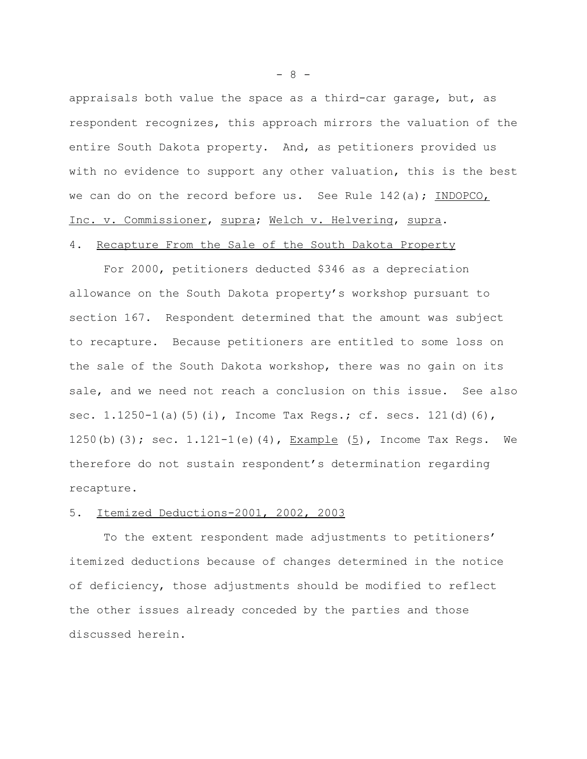appraisals both value the space as a third-car garage, but, as respondent recognizes, this approach mirrors the valuation of the entire South Dakota property. And, as petitioners provided us with no evidence to support any other valuation, this is the best we can do on the record before us. See Rule  $142(a)$ ; INDOPCO, Inc. v. Commissioner, supra; Welch v. Helvering, supra.

#### 4. Recapture From the Sale of the South Dakota Property

For 2000, petitioners deducted \$346 as a depreciation allowance on the South Dakota property's workshop pursuant to section 167. Respondent determined that the amount was subject to recapture. Because petitioners are entitled to some loss on the sale of the South Dakota workshop, there was no gain on its sale, and we need not reach a conclusion on this issue. See also sec.  $1.1250-1$ (a)(5)(i), Income Tax Reqs.; cf. secs.  $121(d)(6)$ , 1250(b)(3); sec. 1.121-1(e)(4), Example (5), Income Tax Regs. We therefore do not sustain respondent's determination regarding recapture.

### 5. Itemized Deductions-2001, 2002, 2003

To the extent respondent made adjustments to petitioners' itemized deductions because of changes determined in the notice of deficiency, those adjustments should be modified to reflect the other issues already conceded by the parties and those discussed herein.

 $- 8 -$